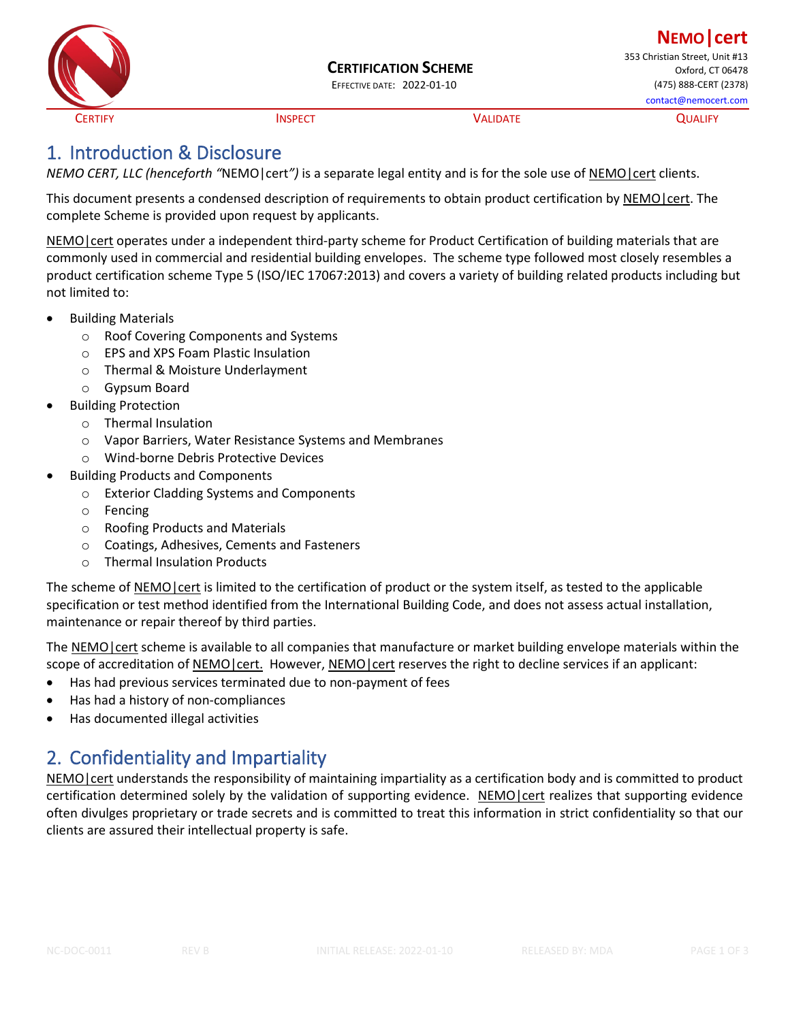

CERTIFY CONTROLLEY CONTROLLEY INSPECT CONTROLLEY CONTROLLEY CONTROLLEY

# 1. Introduction & Disclosure

*NEMO CERT, LLC (henceforth "*NEMO|cert*")* is a separate legal entity and is for the sole use of NEMO|cert clients.

This document presents a condensed description of requirements to obtain product certification by NEMO | cert. The complete Scheme is provided upon request by applicants.

NEMO cert operates under a independent third-party scheme for Product Certification of building materials that are commonly used in commercial and residential building envelopes. The scheme type followed most closely resembles a product certification scheme Type 5 (ISO/IEC 17067:2013) and covers a variety of building related products including but not limited to:

- Building Materials
	- o Roof Covering Components and Systems
	- o EPS and XPS Foam Plastic Insulation
	- o Thermal & Moisture Underlayment
	- o Gypsum Board
- Building Protection
	- o Thermal Insulation
	- o Vapor Barriers, Water Resistance Systems and Membranes
	- o Wind-borne Debris Protective Devices
- Building Products and Components
	- o Exterior Cladding Systems and Components
	- o Fencing
	- o Roofing Products and Materials
	- o Coatings, Adhesives, Cements and Fasteners
	- o Thermal Insulation Products

The scheme of NEMO|cert is limited to the certification of product or the system itself, as tested to the applicable specification or test method identified from the International Building Code, and does not assess actual installation, maintenance or repair thereof by third parties.

The NEMO|cert scheme is available to all companies that manufacture or market building envelope materials within the scope of accreditation of NEMO|cert. However, NEMO|cert reserves the right to decline services if an applicant:

- Has had previous services terminated due to non-payment of fees
- Has had a history of non-compliances
- Has documented illegal activities

# 2. Confidentiality and Impartiality

NEMO|cert understands the responsibility of maintaining impartiality as a certification body and is committed to product certification determined solely by the validation of supporting evidence. NEMO|cert realizes that supporting evidence often divulges proprietary or trade secrets and is committed to treat this information in strict confidentiality so that our clients are assured their intellectual property is safe.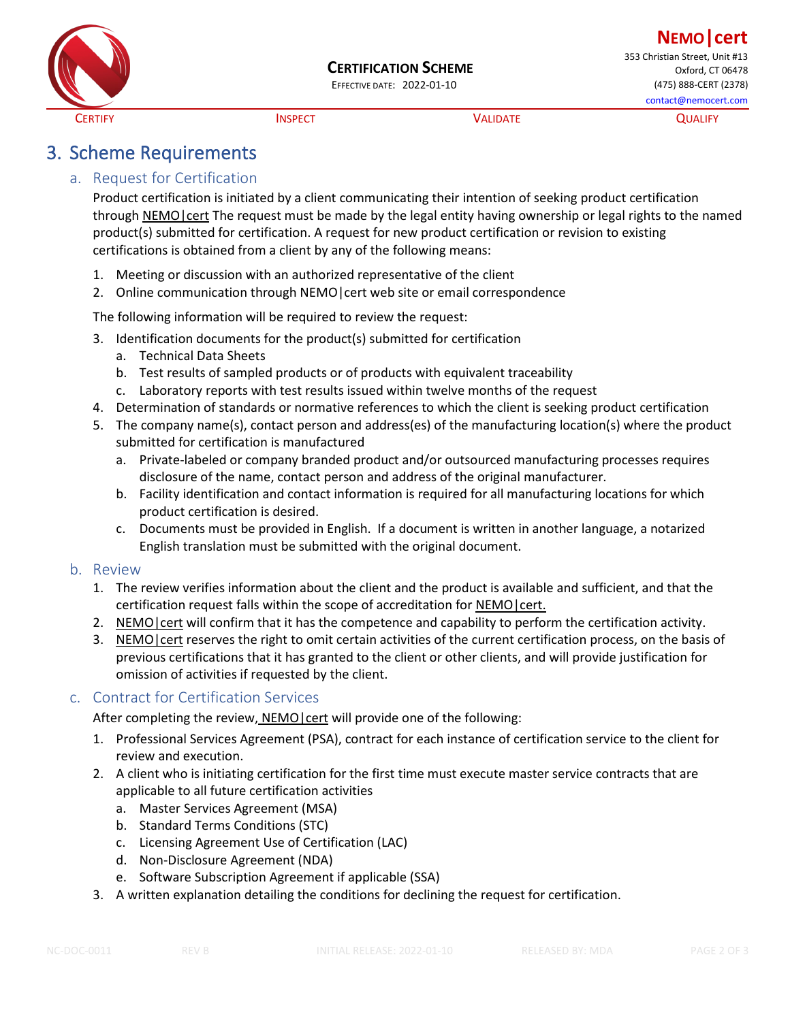

#### **CERTIFICATION SCHEME**

**NEMO|cert** 353 Christian Street, Unit #13 Oxford, CT 06478 EFFECTIVE DATE: 2022-01-10 (475) 888-CERT (2378) contact@nemocert.com

CERTIFY CONTROLLEY CONTROLLEY INSPECT CONTROLLEY CONTROLLEY CONTROLLEY

# 3. Scheme Requirements

## a. Request for Certification

Product certification is initiated by a client communicating their intention of seeking product certification through NEMO|cert The request must be made by the legal entity having ownership or legal rights to the named product(s) submitted for certification. A request for new product certification or revision to existing certifications is obtained from a client by any of the following means:

- 1. Meeting or discussion with an authorized representative of the client
- 2. Online communication through NEMO|cert web site or email correspondence

The following information will be required to review the request:

- 3. Identification documents for the product(s) submitted for certification
	- a. Technical Data Sheets
	- b. Test results of sampled products or of products with equivalent traceability
	- c. Laboratory reports with test results issued within twelve months of the request
- 4. Determination of standards or normative references to which the client is seeking product certification
- 5. The company name(s), contact person and address(es) of the manufacturing location(s) where the product submitted for certification is manufactured
	- a. Private-labeled or company branded product and/or outsourced manufacturing processes requires disclosure of the name, contact person and address of the original manufacturer.
	- b. Facility identification and contact information is required for all manufacturing locations for which product certification is desired.
	- c. Documents must be provided in English. If a document is written in another language, a notarized English translation must be submitted with the original document.

#### b. Review

- 1. The review verifies information about the client and the product is available and sufficient, and that the certification request falls within the scope of accreditation for NEMO|cert.
- 2. NEMO | cert will confirm that it has the competence and capability to perform the certification activity.
- 3. NEMO|cert reserves the right to omit certain activities of the current certification process, on the basis of previous certifications that it has granted to the client or other clients, and will provide justification for omission of activities if requested by the client.

#### c. Contract for Certification Services

After completing the review, NEMO|cert will provide one of the following:

- 1. Professional Services Agreement (PSA), contract for each instance of certification service to the client for review and execution.
- 2. A client who is initiating certification for the first time must execute master service contracts that are applicable to all future certification activities
	- a. Master Services Agreement (MSA)
	- b. Standard Terms Conditions (STC)
	- c. Licensing Agreement Use of Certification (LAC)
	- d. Non-Disclosure Agreement (NDA)
	- e. Software Subscription Agreement if applicable (SSA)
- 3. A written explanation detailing the conditions for declining the request for certification.